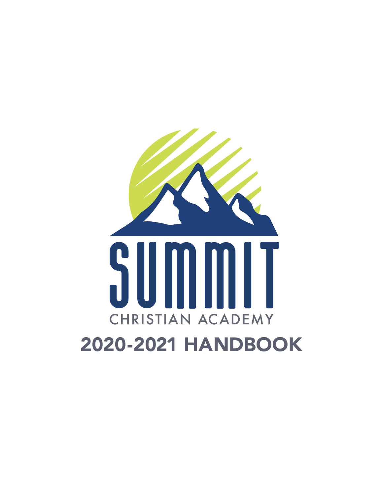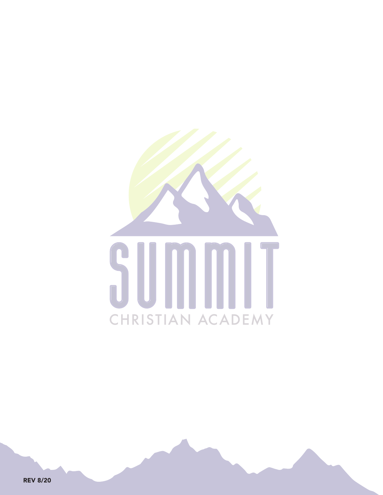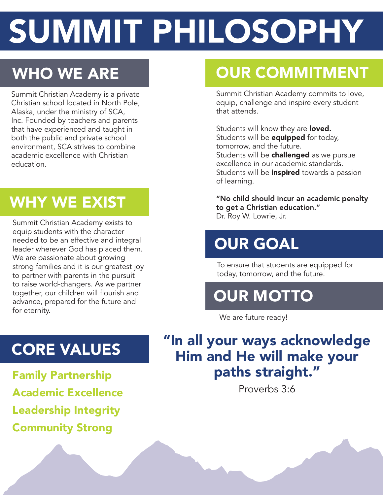# SUMMIT PHILOSOPHY

# WHO WE ARE

Summit Christian Academy is a private Christian school located in North Pole, Alaska, under the ministry of SCA, Inc. Founded by teachers and parents that have experienced and taught in both the public and private school environment, SCA strives to combine academic excellence with Christian education.

# WHY WE EXIST

Summit Christian Academy exists to equip students with the character needed to be an effective and integral leader wherever God has placed them. We are passionate about growing strong families and it is our greatest joy to partner with parents in the pursuit to raise world-changers. As we partner together, our children will flourish and advance, prepared for the future and for eternity.

# OUR COMMITMENT

Summit Christian Academy commits to love, equip, challenge and inspire every student that attends.

Students will know they are **loved.** Students will be **equipped** for today, tomorrow, and the future. Students will be challenged as we pursue excellence in our academic standards. Students will be **inspired** towards a passion of learning.

"No child should incur an academic penalty to get a Christian education." Dr. Roy W. Lowrie, Jr.

# OUR GOAL

To ensure that students are equipped for today, tomorrow, and the future.

# OUR MOTTO

We are future ready!

# "In all your ways acknowledge Him and He will make your paths straight."

Proverbs 3:6

# CORE VALUES

Family Partnership Academic Excellence Leadership Integrity Community Strong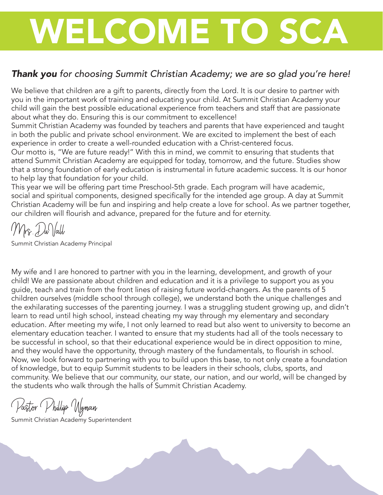# WELCOME TO SCA

# *Thank you for choosing Summit Christian Academy; we are so glad you're here!*

We believe that children are a gift to parents, directly from the Lord. It is our desire to partner with you in the important work of training and educating your child. At Summit Christian Academy your child will gain the best possible educational experience from teachers and staff that are passionate about what they do. Ensuring this is our commitment to excellence!

Summit Christian Academy was founded by teachers and parents that have experienced and taught in both the public and private school environment. We are excited to implement the best of each experience in order to create a well-rounded education with a Christ-centered focus.

Our motto is, "We are future ready!" With this in mind, we commit to ensuring that students that attend Summit Christian Academy are equipped for today, tomorrow, and the future. Studies show that a strong foundation of early education is instrumental in future academic success. It is our honor to help lay that foundation for your child.

This year we will be offering part time Preschool-5th grade. Each program will have academic, social and spiritual components, designed specifically for the intended age group. A day at Summit Christian Academy will be fun and inspiring and help create a love for school. As we partner together, our children will flourish and advance, prepared for the future and for eternity.

Mrs.DuVall

Summit Christian Academy Principal

My wife and I are honored to partner with you in the learning, development, and growth of your child! We are passionate about children and education and it is a privilege to support you as you guide, teach and train from the front lines of raising future world-changers. As the parents of 5 children ourselves (middle school through college), we understand both the unique challenges and the exhilarating successes of the parenting journey. I was a struggling student growing up, and didn't learn to read until high school, instead cheating my way through my elementary and secondary education. After meeting my wife, I not only learned to read but also went to university to become an elementary education teacher. I wanted to ensure that my students had all of the tools necessary to be successful in school, so that their educational experience would be in direct opposition to mine, and they would have the opportunity, through mastery of the fundamentals, to flourish in school. Now, we look forward to partnering with you to build upon this base, to not only create a foundation of knowledge, but to equip Summit students to be leaders in their schools, clubs, sports, and community. We believe that our community, our state, our nation, and our world, will be changed by the students who walk through the halls of Summit Christian Academy.

Pastor Phillip Wyman

Summit Christian Academy Superintendent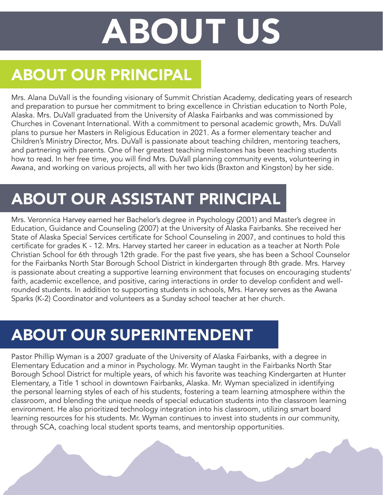# ABOUT US

# ABOUT OUR PRINCIPAL

Mrs. Alana DuVall is the founding visionary of Summit Christian Academy, dedicating years of research and preparation to pursue her commitment to bring excellence in Christian education to North Pole, Alaska. Mrs. DuVall graduated from the University of Alaska Fairbanks and was commissioned by Churches in Covenant International. With a commitment to personal academic growth, Mrs. DuVall plans to pursue her Masters in Religious Education in 2021. As a former elementary teacher and Children's Ministry Director, Mrs. DuVall is passionate about teaching children, mentoring teachers, and partnering with parents. One of her greatest teaching milestones has been teaching students how to read. In her free time, you will find Mrs. DuVall planning community events, volunteering in Awana, and working on various projects, all with her two kids (Braxton and Kingston) by her side.

# ABOUT OUR ASSISTANT PRINCIPAL

Mrs. Veronnica Harvey earned her Bachelor's degree in Psychology (2001) and Master's degree in Education, Guidance and Counseling (2007) at the University of Alaska Fairbanks. She received her State of Alaska Special Services certificate for School Counseling in 2007, and continues to hold this certificate for grades K - 12. Mrs. Harvey started her career in education as a teacher at North Pole Christian School for 6th through 12th grade. For the past five years, she has been a School Counselor for the Fairbanks North Star Borough School District in kindergarten through 8th grade. Mrs. Harvey is passionate about creating a supportive learning environment that focuses on encouraging students' faith, academic excellence, and positive, caring interactions in order to develop confident and wellrounded students. In addition to supporting students in schools, Mrs. Harvey serves as the Awana Sparks (K-2) Coordinator and volunteers as a Sunday school teacher at her church.

# ABOUT OUR SUPERINTENDENT

Pastor Phillip Wyman is a 2007 graduate of the University of Alaska Fairbanks, with a degree in Elementary Education and a minor in Psychology. Mr. Wyman taught in the Fairbanks North Star Borough School District for multiple years, of which his favorite was teaching Kindergarten at Hunter Elementary, a Title 1 school in downtown Fairbanks, Alaska. Mr. Wyman specialized in identifying the personal learning styles of each of his students, fostering a team learning atmosphere within the classroom, and blending the unique needs of special education students into the classroom learning environment. He also prioritized technology integration into his classroom, utilizing smart board learning resources for his students. Mr. Wyman continues to invest into students in our community, through SCA, coaching local student sports teams, and mentorship opportunities.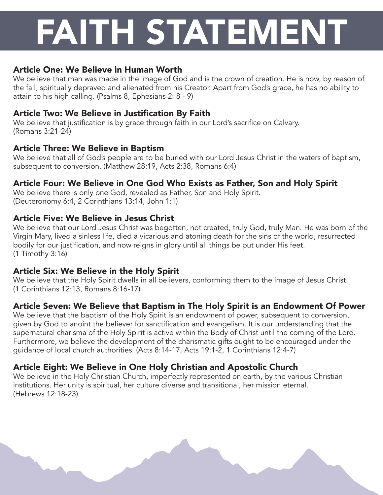# FAITH STATEMENT

# Article One: We Believe in Human Worth

We believe that man was made in the image of God and is the crown of creation. He is now, by reason of the fall, spiritually depraved and alienated from his Creator. Apart from God's grace, he has no ability to attain to his high calling. (Psalms 8, Ephesians 2: 8 - 9)

# Article Two: We Believe in Justification By Faith

We believe that justification is by grace through faith in our Lord's sacrifice on Calvary. (Romans 3:21-24)

# Article Three: We Believe in Baptism

We believe that all of God's people are to be buried with our Lord Jesus Christ in the waters of baptism, subsequent to conversion. (Matthew 28:19, Acts 2:38, Romans 6:4)

# Article Four: We Believe in One God Who Exists as Father, Son and Holy Spirit

We believe there is only one God, revealed as Father, Son and Holy Spirit. (Deuteronomy 6:4, 2 Corinthians 13:14, John 1:1)

# Article Five: We Believe in Jesus Christ

We believe that our Lord Jesus Christ was begotten, not created, truly God, truly Man. He was born of the Virgin Mary, lived a sinless life, died a vicarious and atoning death for the sins of the world, resurrected bodily for our justification, and now reigns in glory until all things be put under His feet. (1 Timothy 3:16)

# Article Six: We Believe in the Holy Spirit

We believe that the Holy Spirit dwells in all believers, conforming them to the image of Jesus Christ. (1 Corinthians 12:13, Romans 8:16-17)

# Article Seven: We Believe that Baptism in The Holy Spirit is an Endowment Of Power

We believe that the baptism of the Holy Spirit is an endowment of power, subsequent to conversion, given by God to anoint the believer for sanctification and evangelism. It is our understanding that the supernatural charisma of the Holy Spirit is active within the Body of Christ until the coming of the Lord. Furthermore, we believe the development of the charismatic gifts ought to be encouraged under the guidance of local church authorities. (Acts 8:14-17, Acts 19:1-2, 1 Corinthians 12:4-7)

# Article Eight: We Believe in One Holy Christian and Apostolic Church

We believe in the Holy Christian Church, imperfectly represented on earth, by the various Christian institutions. Her unity is spiritual, her culture diverse and transitional, her mission eternal. (Hebrews 12:18-23)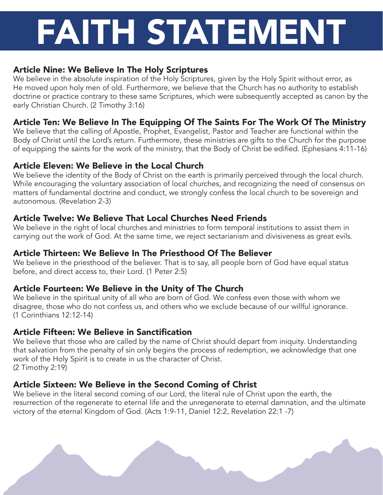# FAITH STATEMENT

# Article Nine: We Believe In The Holy Scriptures

We believe in the absolute inspiration of the Holy Scriptures, given by the Holy Spirit without error, as He moved upon holy men of old. Furthermore, we believe that the Church has no authority to establish doctrine or practice contrary to these same Scriptures, which were subsequently accepted as canon by the early Christian Church. (2 Timothy 3:16)

# Article Ten: We Believe In The Equipping Of The Saints For The Work Of The Ministry

We believe that the calling of Apostle, Prophet, Evangelist, Pastor and Teacher are functional within the Body of Christ until the Lord's return. Furthermore, these ministries are gifts to the Church for the purpose of equipping the saints for the work of the ministry, that the Body of Christ be edified. (Ephesians 4:11-16)

# Article Eleven: We Believe in the Local Church

We believe the identity of the Body of Christ on the earth is primarily perceived through the local church. While encouraging the voluntary association of local churches, and recognizing the need of consensus on matters of fundamental doctrine and conduct, we strongly confess the local church to be sovereign and autonomous. (Revelation 2-3)

# Article Twelve: We Believe That Local Churches Need Friends

We believe in the right of local churches and ministries to form temporal institutions to assist them in carrying out the work of God. At the same time, we reject sectarianism and divisiveness as great evils.

# Article Thirteen: We Believe In The Priesthood Of The Believer

We believe in the priesthood of the believer. That is to say, all people born of God have equal status before, and direct access to, their Lord. (1 Peter 2:5)

# Article Fourteen: We Believe in the Unity of The Church

We believe in the spiritual unity of all who are born of God. We confess even those with whom we disagree, those who do not confess us, and others who we exclude because of our willful ignorance. (1 Corinthians 12:12-14)

# Article Fifteen: We Believe in Sanctification

We believe that those who are called by the name of Christ should depart from iniquity. Understanding that salvation from the penalty of sin only begins the process of redemption, we acknowledge that one work of the Holy Spirit is to create in us the character of Christ. (2 Timothy 2:19)

# Article Sixteen: We Believe in the Second Coming of Christ

We believe in the literal second coming of our Lord, the literal rule of Christ upon the earth, the resurrection of the regenerate to eternal life and the unregenerate to eternal damnation, and the ultimate victory of the eternal Kingdom of God. (Acts 1:9-11, Daniel 12:2, Revelation 22:1 -7)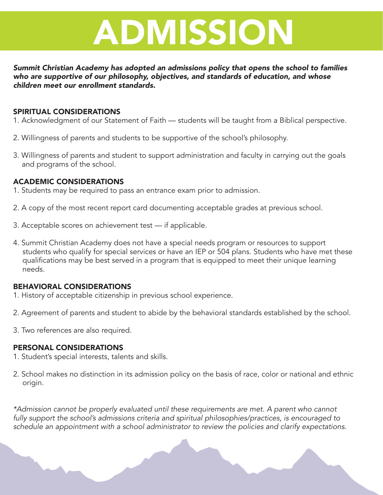

*Summit Christian Academy has adopted an admissions policy that opens the school to families who are supportive of our philosophy, objectives, and standards of education, and whose children meet our enrollment standards.*

#### SPIRITUAL CONSIDERATIONS

- 1. Acknowledgment of our Statement of Faith students will be taught from a Biblical perspective.
- 2. Willingness of parents and students to be supportive of the school's philosophy.
- 3. Willingness of parents and student to support administration and faculty in carrying out the goals and programs of the school.

### ACADEMIC CONSIDERATIONS

- 1. Students may be required to pass an entrance exam prior to admission.
- 2. A copy of the most recent report card documenting acceptable grades at previous school.
- 3. Acceptable scores on achievement test if applicable.
- 4. Summit Christian Academy does not have a special needs program or resources to support students who qualify for special services or have an IEP or 504 plans. Students who have met these qualifications may be best served in a program that is equipped to meet their unique learning needs.

#### BEHAVIORAL CONSIDERATIONS

- 1. History of acceptable citizenship in previous school experience.
- 2. Agreement of parents and student to abide by the behavioral standards established by the school.
- 3. Two references are also required.

#### PERSONAL CONSIDERATIONS

- 1. Student's special interests, talents and skills.
- 2. School makes no distinction in its admission policy on the basis of race, color or national and ethnic origin.

*\*Admission cannot be properly evaluated until these requirements are met. A parent who cannot fully support the school's admissions criteria and spiritual philosophies/practices, is encouraged to schedule an appointment with a school administrator to review the policies and clarify expectations.*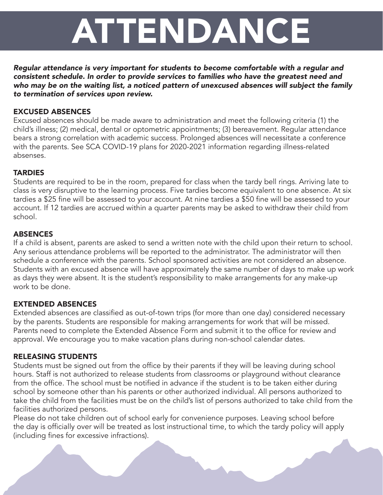# ATTENDANCE

*Regular attendance is very important for students to become comfortable with a regular and consistent schedule. In order to provide services to families who have the greatest need and who may be on the waiting list, a noticed pattern of unexcused absences will subject the family to termination of services upon review.*

### EXCUSED ABSENCES

Excused absences should be made aware to administration and meet the following criteria (1) the child's illness; (2) medical, dental or optometric appointments; (3) bereavement. Regular attendance bears a strong correlation with academic success. Prolonged absences will necessitate a conference with the parents. See SCA COVID-19 plans for 2020-2021 information regarding illness-related absenses.

# **TARDIES**

Students are required to be in the room, prepared for class when the tardy bell rings. Arriving late to class is very disruptive to the learning process. Five tardies become equivalent to one absence. At six tardies a \$25 fine will be assessed to your account. At nine tardies a \$50 fine will be assessed to your account. If 12 tardies are accrued within a quarter parents may be asked to withdraw their child from school.

# ABSENCES

If a child is absent, parents are asked to send a written note with the child upon their return to school. Any serious attendance problems will be reported to the administrator. The administrator will then schedule a conference with the parents. School sponsored activities are not considered an absence. Students with an excused absence will have approximately the same number of days to make up work as days they were absent. It is the student's responsibility to make arrangements for any make-up work to be done.

## EXTENDED ABSENCES

Extended absences are classified as out-of-town trips (for more than one day) considered necessary by the parents. Students are responsible for making arrangements for work that will be missed. Parents need to complete the Extended Absence Form and submit it to the office for review and approval. We encourage you to make vacation plans during non-school calendar dates.

## RELEASING STUDENTS

Students must be signed out from the office by their parents if they will be leaving during school hours. Staff is not authorized to release students from classrooms or playground without clearance from the office. The school must be notified in advance if the student is to be taken either during school by someone other than his parents or other authorized individual. All persons authorized to take the child from the facilities must be on the child's list of persons authorized to take child from the facilities authorized persons.

Please do not take children out of school early for convenience purposes. Leaving school before the day is officially over will be treated as lost instructional time, to which the tardy policy will apply (including fines for excessive infractions).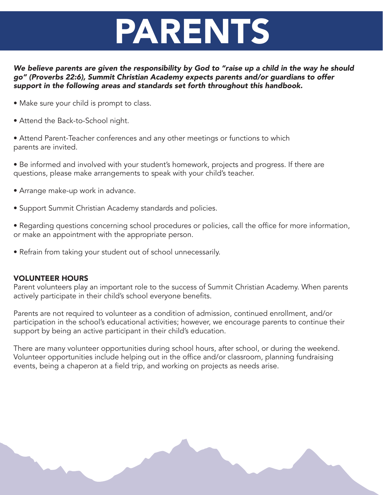# PARENTS

*We believe parents are given the responsibility by God to "raise up a child in the way he should go" (Proverbs 22:6), Summit Christian Academy expects parents and/or guardians to offer support in the following areas and standards set forth throughout this handbook.* 

- Make sure your child is prompt to class.
- Attend the Back-to-School night.
- Attend Parent-Teacher conferences and any other meetings or functions to which parents are invited.
- Be informed and involved with your student's homework, projects and progress. If there are questions, please make arrangements to speak with your child's teacher.
- Arrange make-up work in advance.
- Support Summit Christian Academy standards and policies.
- Regarding questions concerning school procedures or policies, call the office for more information, or make an appointment with the appropriate person.
- Refrain from taking your student out of school unnecessarily.

#### VOLUNTEER HOURS

Parent volunteers play an important role to the success of Summit Christian Academy. When parents actively participate in their child's school everyone benefits.

Parents are not required to volunteer as a condition of admission, continued enrollment, and/or participation in the school's educational activities; however, we encourage parents to continue their support by being an active participant in their child's education.

There are many volunteer opportunities during school hours, after school, or during the weekend. Volunteer opportunities include helping out in the office and/or classroom, planning fundraising events, being a chaperon at a field trip, and working on projects as needs arise.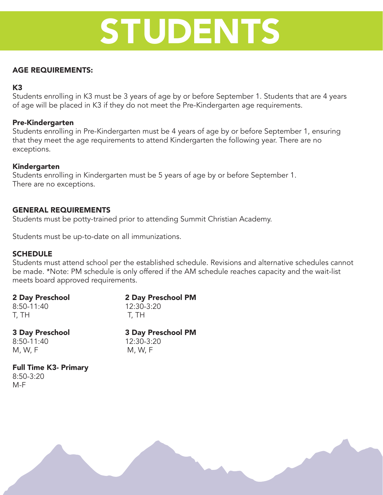# STUDENTS

### AGE REQUIREMENTS:

### K3

Students enrolling in K3 must be 3 years of age by or before September 1. Students that are 4 years of age will be placed in K3 if they do not meet the Pre-Kindergarten age requirements.

#### Pre-Kindergarten

Students enrolling in Pre-Kindergarten must be 4 years of age by or before September 1, ensuring that they meet the age requirements to attend Kindergarten the following year. There are no exceptions.

#### Kindergarten

Students enrolling in Kindergarten must be 5 years of age by or before September 1. There are no exceptions.

#### GENERAL REQUIREMENTS

Students must be potty-trained prior to attending Summit Christian Academy.

Students must be up-to-date on all immunizations.

#### **SCHEDULE**

Students must attend school per the established schedule. Revisions and alternative schedules cannot be made. \*Note: PM schedule is only offered if the AM schedule reaches capacity and the wait-list meets board approved requirements.

| 2 Day Preschool | 2 Day Preschool PM |
|-----------------|--------------------|
| 8:50-11:40      | 12:30-3:20         |
| T, TH           | T. TH              |
|                 |                    |

8:50-11:40 12:30-3:20  $M, W, F$  M, W, F

3 Day Preschool 3 Day Preschool PM

#### Full Time K3- Primary 8:50-3:20 M-F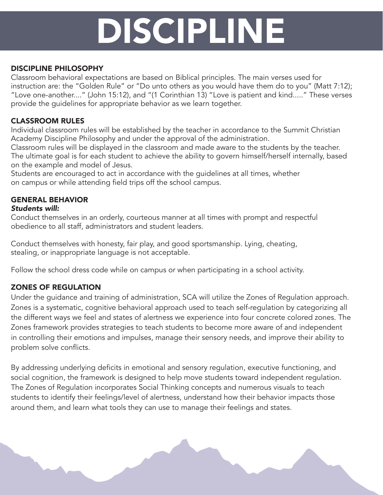# DISCIPLINE

## DISCIPLINE PHILOSOPHY

Classroom behavioral expectations are based on Biblical principles. The main verses used for instruction are: the "Golden Rule" or "Do unto others as you would have them do to you" (Matt 7:12); "Love one-another...." (John 15:12), and "(1 Corinthian 13) "Love is patient and kind....." These verses provide the guidelines for appropriate behavior as we learn together.

# CLASSROOM RULES

Individual classroom rules will be established by the teacher in accordance to the Summit Christian Academy Discipline Philosophy and under the approval of the administration.

Classroom rules will be displayed in the classroom and made aware to the students by the teacher. The ultimate goal is for each student to achieve the ability to govern himself/herself internally, based on the example and model of Jesus.

Students are encouraged to act in accordance with the guidelines at all times, whether on campus or while attending field trips off the school campus.

# GENERAL BEHAVIOR

### *Students will:*

Conduct themselves in an orderly, courteous manner at all times with prompt and respectful obedience to all staff, administrators and student leaders.

Conduct themselves with honesty, fair play, and good sportsmanship. Lying, cheating, stealing, or inappropriate language is not acceptable.

Follow the school dress code while on campus or when participating in a school activity.

# ZONES OF REGULATION

Under the guidance and training of administration, SCA will utilize the Zones of Regulation approach. Zones is a systematic, cognitive behavioral approach used to teach self-regulation by categorizing all the different ways we feel and states of alertness we experience into four concrete colored zones. The Zones framework provides strategies to teach students to become more aware of and independent in controlling their emotions and impulses, manage their sensory needs, and improve their ability to problem solve conflicts.

By addressing underlying deficits in emotional and sensory regulation, executive functioning, and social cognition, the framework is designed to help move students toward independent regulation. The Zones of Regulation incorporates Social Thinking concepts and numerous visuals to teach students to identify their feelings/level of alertness, understand how their behavior impacts those around them, and learn what tools they can use to manage their feelings and states.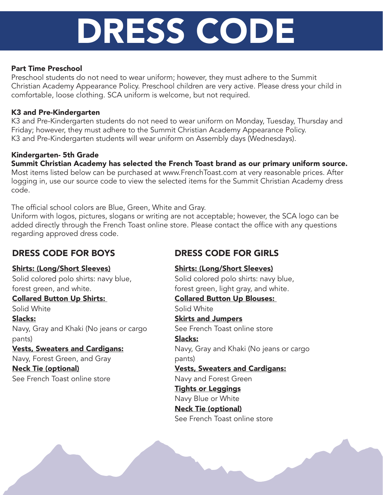# DRESS CODE

### Part Time Preschool

Preschool students do not need to wear uniform; however, they must adhere to the Summit Christian Academy Appearance Policy. Preschool children are very active. Please dress your child in comfortable, loose clothing. SCA uniform is welcome, but not required.

### K3 and Pre-Kindergarten

K3 and Pre-Kindergarten students do not need to wear uniform on Monday, Tuesday, Thursday and Friday; however, they must adhere to the Summit Christian Academy Appearance Policy. K3 and Pre-Kindergarten students will wear uniform on Assembly days (Wednesdays).

## Kindergarten- 5th Grade

Summit Christian Academy has selected the French Toast brand as our primary uniform source. Most items listed below can be purchased at www.FrenchToast.com at very reasonable prices. After logging in, use our source code to view the selected items for the Summit Christian Academy dress code.

The official school colors are Blue, Green, White and Gray.

Uniform with logos, pictures, slogans or writing are not acceptable; however, the SCA logo can be added directly through the French Toast online store. Please contact the office with any questions regarding approved dress code.

# DRESS CODE FOR BOYS

### Shirts: (Long/Short Sleeves)

Solid colored polo shirts: navy blue, forest green, and white.

### Collared Button Up Shirts:

Solid White Slacks: Navy, Gray and Khaki (No jeans or cargo pants)

### Vests, Sweaters and Cardigans:

Navy, Forest Green, and Gray

Neck Tie (optional) See French Toast online store

# DRESS CODE FOR GIRLS

## Shirts: (Long/Short Sleeves)

Solid colored polo shirts: navy blue, forest green, light gray, and white.

# Collared Button Up Blouses:

Solid White Skirts and Jumpers

See French Toast online store

## Slacks:

Navy, Gray and Khaki (No jeans or cargo pants)

# Vests, Sweaters and Cardigans:

Navy and Forest Green

- Tights or Leggings
- Navy Blue or White

# Neck Tie (optional)

See French Toast online store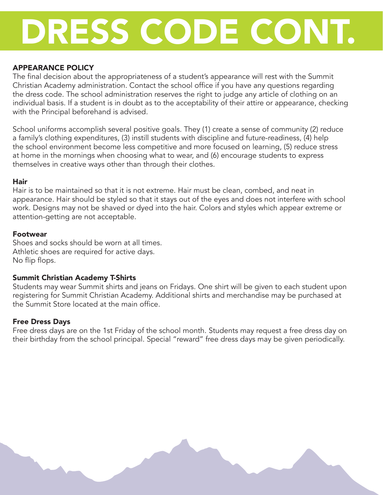# DRESS CODE CONT.

### APPEARANCE POLICY

The final decision about the appropriateness of a student's appearance will rest with the Summit Christian Academy administration. Contact the school office if you have any questions regarding the dress code. The school administration reserves the right to judge any article of clothing on an individual basis. If a student is in doubt as to the acceptability of their attire or appearance, checking with the Principal beforehand is advised.

School uniforms accomplish several positive goals. They (1) create a sense of community (2) reduce a family's clothing expenditures, (3) instill students with discipline and future-readiness, (4) help the school environment become less competitive and more focused on learning, (5) reduce stress at home in the mornings when choosing what to wear, and (6) encourage students to express themselves in creative ways other than through their clothes.

#### Hair

Hair is to be maintained so that it is not extreme. Hair must be clean, combed, and neat in appearance. Hair should be styled so that it stays out of the eyes and does not interfere with school work. Designs may not be shaved or dyed into the hair. Colors and styles which appear extreme or attention-getting are not acceptable.

#### Footwear

Shoes and socks should be worn at all times. Athletic shoes are required for active days. No flip flops.

### Summit Christian Academy T-Shirts

Students may wear Summit shirts and jeans on Fridays. One shirt will be given to each student upon registering for Summit Christian Academy. Additional shirts and merchandise may be purchased at the Summit Store located at the main office.

#### Free Dress Days

Free dress days are on the 1st Friday of the school month. Students may request a free dress day on their birthday from the school principal. Special "reward" free dress days may be given periodically.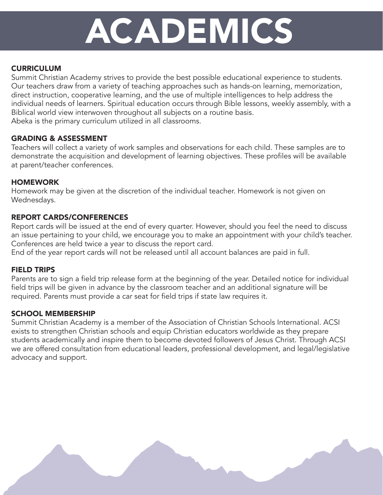# ACADEMICS

## **CURRICULUM**

Summit Christian Academy strives to provide the best possible educational experience to students. Our teachers draw from a variety of teaching approaches such as hands-on learning, memorization, direct instruction, cooperative learning, and the use of multiple intelligences to help address the individual needs of learners. Spiritual education occurs through Bible lessons, weekly assembly, with a Biblical world view interwoven throughout all subjects on a routine basis. Abeka is the primary curriculum utilized in all classrooms.

### GRADING & ASSESSMENT

Teachers will collect a variety of work samples and observations for each child. These samples are to demonstrate the acquisition and development of learning objectives. These profiles will be available at parent/teacher conferences.

### **HOMEWORK**

Homework may be given at the discretion of the individual teacher. Homework is not given on Wednesdays.

### REPORT CARDS/CONFERENCES

Report cards will be issued at the end of every quarter. However, should you feel the need to discuss an issue pertaining to your child, we encourage you to make an appointment with your child's teacher. Conferences are held twice a year to discuss the report card.

End of the year report cards will not be released until all account balances are paid in full.

### FIELD TRIPS

Parents are to sign a field trip release form at the beginning of the year. Detailed notice for individual field trips will be given in advance by the classroom teacher and an additional signature will be required. Parents must provide a car seat for field trips if state law requires it.

### SCHOOL MEMBERSHIP

Summit Christian Academy is a member of the Association of Christian Schools International. ACSI exists to strengthen Christian schools and equip Christian educators worldwide as they prepare students academically and inspire them to become devoted followers of Jesus Christ. Through ACSI we are offered consultation from educational leaders, professional development, and legal/legislative advocacy and support.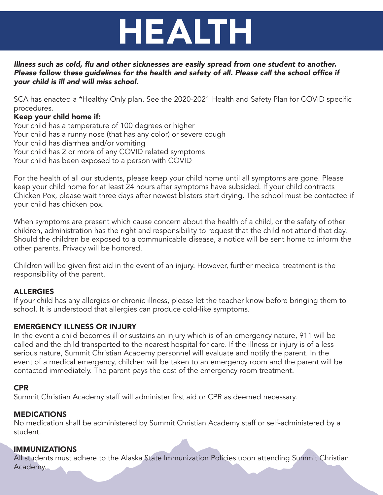# HEALTH

#### Illness such as cold, flu and other sicknesses are easily spread from one student to another. Please follow these guidelines for the health and safety of all. Please call the school office if *your child is ill and will miss school.*

SCA has enacted a \*Healthy Only plan. See the 2020-2021 Health and Safety Plan for COVID specific procedures.

## Keep your child home if:

Your child has a temperature of 100 degrees or higher Your child has a runny nose (that has any color) or severe cough Your child has diarrhea and/or vomiting Your child has 2 or more of any COVID related symptoms Your child has been exposed to a person with COVID

For the health of all our students, please keep your child home until all symptoms are gone. Please keep your child home for at least 24 hours after symptoms have subsided. If your child contracts Chicken Pox, please wait three days after newest blisters start drying. The school must be contacted if your child has chicken pox.

When symptoms are present which cause concern about the health of a child, or the safety of other children, administration has the right and responsibility to request that the child not attend that day. Should the children be exposed to a communicable disease, a notice will be sent home to inform the other parents. Privacy will be honored.

Children will be given first aid in the event of an injury. However, further medical treatment is the responsibility of the parent.

# **ALLERGIES**

If your child has any allergies or chronic illness, please let the teacher know before bringing them to school. It is understood that allergies can produce cold-like symptoms.

## EMERGENCY ILLNESS OR INJURY

In the event a child becomes ill or sustains an injury which is of an emergency nature, 911 will be called and the child transported to the nearest hospital for care. If the illness or injury is of a less serious nature, Summit Christian Academy personnel will evaluate and notify the parent. In the event of a medical emergency, children will be taken to an emergency room and the parent will be contacted immediately. The parent pays the cost of the emergency room treatment.

## CPR

Summit Christian Academy staff will administer first aid or CPR as deemed necessary.

## **MEDICATIONS**

No medication shall be administered by Summit Christian Academy staff or self-administered by a student.

## IMMUNIZATIONS

All students must adhere to the Alaska State Immunization Policies upon attending Summit Christian Academy.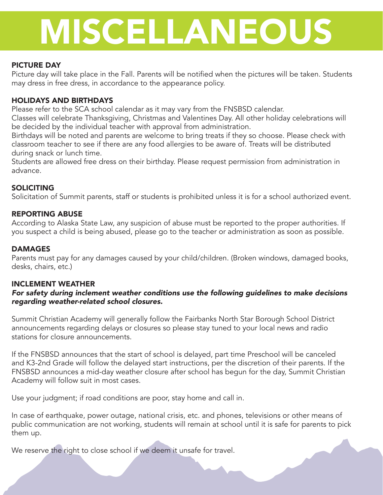# MISCELLANEOUS

### PICTURE DAY

Picture day will take place in the Fall. Parents will be notified when the pictures will be taken. Students may dress in free dress, in accordance to the appearance policy.

### HOLIDAYS AND BIRTHDAYS

Please refer to the SCA school calendar as it may vary from the FNSBSD calendar.

Classes will celebrate Thanksgiving, Christmas and Valentines Day. All other holiday celebrations will be decided by the individual teacher with approval from administration.

Birthdays will be noted and parents are welcome to bring treats if they so choose. Please check with classroom teacher to see if there are any food allergies to be aware of. Treats will be distributed during snack or lunch time.

Students are allowed free dress on their birthday. Please request permission from administration in advance.

### **SOLICITING**

Solicitation of Summit parents, staff or students is prohibited unless it is for a school authorized event.

#### REPORTING ABUSE

According to Alaska State Law, any suspicion of abuse must be reported to the proper authorities. If you suspect a child is being abused, please go to the teacher or administration as soon as possible.

#### **DAMAGES**

Parents must pay for any damages caused by your child/children. (Broken windows, damaged books, desks, chairs, etc.)

#### INCLEMENT WEATHER

#### *For safety during inclement weather conditions use the following guidelines to make decisions regarding weather-related school closures.*

Summit Christian Academy will generally follow the Fairbanks North Star Borough School District announcements regarding delays or closures so please stay tuned to your local news and radio stations for closure announcements.

If the FNSBSD announces that the start of school is delayed, part time Preschool will be canceled and K3-2nd Grade will follow the delayed start instructions, per the discretion of their parents. If the FNSBSD announces a mid-day weather closure after school has begun for the day, Summit Christian Academy will follow suit in most cases.

Use your judgment; if road conditions are poor, stay home and call in.

In case of earthquake, power outage, national crisis, etc. and phones, televisions or other means of public communication are not working, students will remain at school until it is safe for parents to pick them up.

We reserve the right to close school if we deem it unsafe for travel.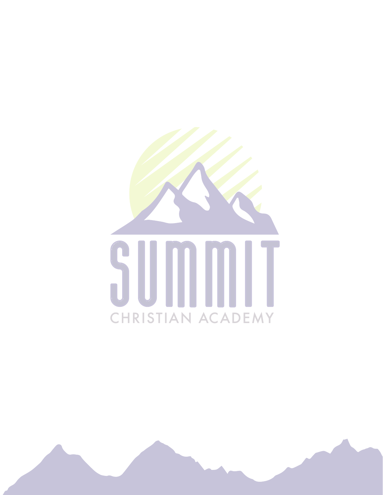